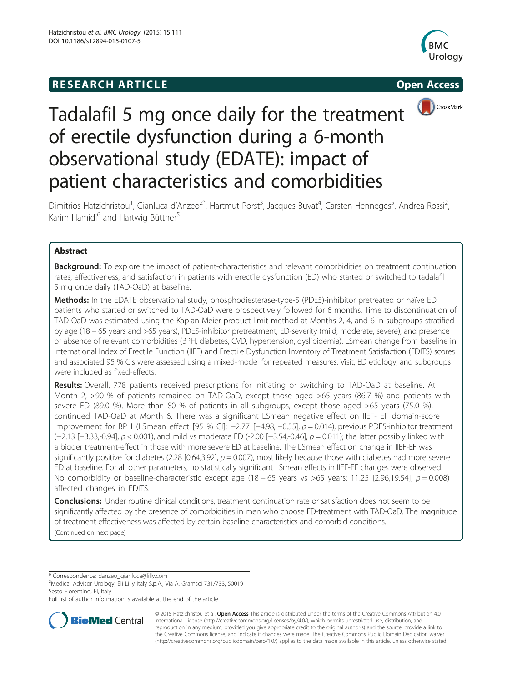## **RESEARCH ARTICLE Example 2014 12:25 Open Access**







# Tadalafil 5 mg once daily for the treatment of erectile dysfunction during a 6-month observational study (EDATE): impact of patient characteristics and comorbidities

Dimitrios Hatzichristou<sup>1</sup>, Gianluca d'Anzeo<sup>2\*</sup>, Hartmut Porst<sup>3</sup>, Jacques Buvat<sup>4</sup>, Carsten Henneges<sup>5</sup>, Andrea Rossi<sup>2</sup> , Karim Hamidi<sup>6</sup> and Hartwig Büttner<sup>5</sup>

## Abstract

Background: To explore the impact of patient-characteristics and relevant comorbidities on treatment continuation rates, effectiveness, and satisfaction in patients with erectile dysfunction (ED) who started or switched to tadalafil 5 mg once daily (TAD-OaD) at baseline.

Methods: In the EDATE observational study, phosphodiesterase-type-5 (PDE5)-inhibitor pretreated or naïve ED patients who started or switched to TAD-OaD were prospectively followed for 6 months. Time to discontinuation of TAD-OaD was estimated using the Kaplan-Meier product-limit method at Months 2, 4, and 6 in subgroups stratified by age (18 − 65 years and >65 years), PDE5-inhibitor pretreatment, ED-severity (mild, moderate, severe), and presence or absence of relevant comorbidities (BPH, diabetes, CVD, hypertension, dyslipidemia). LSmean change from baseline in International Index of Erectile Function (IIEF) and Erectile Dysfunction Inventory of Treatment Satisfaction (EDITS) scores and associated 95 % CIs were assessed using a mixed-model for repeated measures. Visit, ED etiology, and subgroups were included as fixed-effects.

Results: Overall, 778 patients received prescriptions for initiating or switching to TAD-OaD at baseline. At Month 2, >90 % of patients remained on TAD-OaD, except those aged >65 years (86.7 %) and patients with severe ED (89.0 %). More than 80 % of patients in all subgroups, except those aged >65 years (75.0 %), continued TAD-OaD at Month 6. There was a significant LSmean negative effect on IIEF- EF domain-score improvement for BPH (LSmean effect [95 % CI]: −2.77 [−4.98, −0.55], p = 0.014), previous PDE5-inhibitor treatment (−2.13 [−3.33,-0.94], p < 0.001), and mild vs moderate ED (-2.00 [−3.54,-0.46], p = 0.011); the latter possibly linked with a bigger treatment-effect in those with more severe ED at baseline. The LSmean effect on change in IIEF-EF was significantly positive for diabetes (2.28 [0.64,3.92],  $p = 0.007$ ), most likely because those with diabetes had more severe ED at baseline. For all other parameters, no statistically significant LSmean effects in IIEF-EF changes were observed. No comorbidity or baseline-characteristic except age (18 – 65 years vs > 65 years: 11.25 [2.96,19.54],  $p = 0.008$ ) affected changes in EDITS.

Conclusions: Under routine clinical conditions, treatment continuation rate or satisfaction does not seem to be significantly affected by the presence of comorbidities in men who choose ED-treatment with TAD-OaD. The magnitude of treatment effectiveness was affected by certain baseline characteristics and comorbid conditions. (Continued on next page)

\* Correspondence: [danzeo\\_gianluca@lilly.com](mailto:danzeo_gianluca@lilly.com) <sup>2</sup>

<sup>2</sup>Medical Advisor Urology, Eli Lilly Italy S.p.A., Via A. Gramsci 731/733, 50019 Sesto Fiorentino, FI, Italy

Full list of author information is available at the end of the article



© 2015 Hatzichristou et al. Open Access This article is distributed under the terms of the Creative Commons Attribution 4.0 International License [\(http://creativecommons.org/licenses/by/4.0/](http://creativecommons.org/licenses/by/4.0/)), which permits unrestricted use, distribution, and reproduction in any medium, provided you give appropriate credit to the original author(s) and the source, provide a link to the Creative Commons license, and indicate if changes were made. The Creative Commons Public Domain Dedication waiver [\(http://creativecommons.org/publicdomain/zero/1.0/](http://creativecommons.org/publicdomain/zero/1.0/)) applies to the data made available in this article, unless otherwise stated.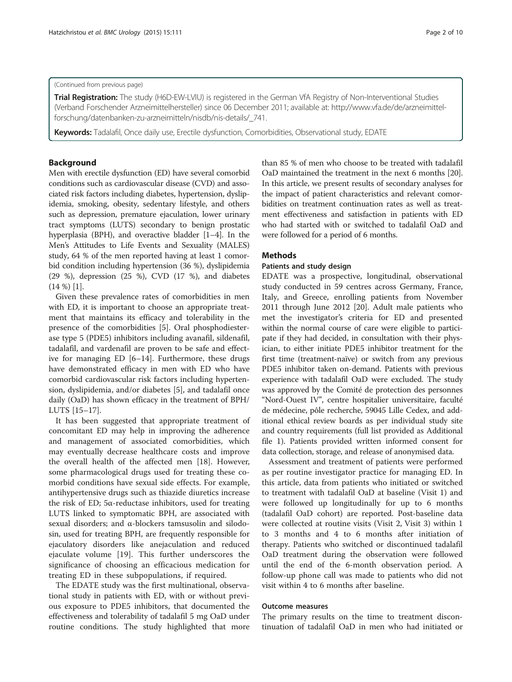#### (Continued from previous page)

Trial Registration: The study (H6D-EW-LVIU) is registered in the German VfA Registry of Non-Interventional Studies (Verband Forschender Arzneimittelhersteller) since 06 December 2011; available at: [http://www.vfa.de/de/arzneimittel](http://www.vfa.de/de/arzneimittel-forschung/datenbanken-zu-arzneimitteln/nisdb/nis-details/_741)[forschung/datenbanken-zu-arzneimitteln/nisdb/nis-details/\\_741](http://www.vfa.de/de/arzneimittel-forschung/datenbanken-zu-arzneimitteln/nisdb/nis-details/_741).

Keywords: Tadalafil, Once daily use, Erectile dysfunction, Comorbidities, Observational study, EDATE

## Background

Men with erectile dysfunction (ED) have several comorbid conditions such as cardiovascular disease (CVD) and associated risk factors including diabetes, hypertension, dyslipidemia, smoking, obesity, sedentary lifestyle, and others such as depression, premature ejaculation, lower urinary tract symptoms (LUTS) secondary to benign prostatic hyperplasia (BPH), and overactive bladder [[1](#page-9-0)–[4](#page-9-0)]. In the Men's Attitudes to Life Events and Sexuality (MALES) study, 64 % of the men reported having at least 1 comorbid condition including hypertension (36 %), dyslipidemia (29 %), depression (25 %), CVD (17 %), and diabetes (14 %) [[1](#page-9-0)].

Given these prevalence rates of comorbidities in men with ED, it is important to choose an appropriate treatment that maintains its efficacy and tolerability in the presence of the comorbidities [\[5](#page-9-0)]. Oral phosphodiesterase type 5 (PDE5) inhibitors including avanafil, sildenafil, tadalafil, and vardenafil are proven to be safe and effective for managing ED [\[6](#page-9-0)–[14\]](#page-9-0). Furthermore, these drugs have demonstrated efficacy in men with ED who have comorbid cardiovascular risk factors including hypertension, dyslipidemia, and/or diabetes [[5\]](#page-9-0), and tadalafil once daily (OaD) has shown efficacy in the treatment of BPH/ LUTS [\[15](#page-9-0)–[17\]](#page-9-0).

It has been suggested that appropriate treatment of concomitant ED may help in improving the adherence and management of associated comorbidities, which may eventually decrease healthcare costs and improve the overall health of the affected men [\[18\]](#page-9-0). However, some pharmacological drugs used for treating these comorbid conditions have sexual side effects. For example, antihypertensive drugs such as thiazide diuretics increase the risk of ED; 5α-reductase inhibitors, used for treating LUTS linked to symptomatic BPH, are associated with sexual disorders; and α-blockers tamsusolin and silodosin, used for treating BPH, are frequently responsible for ejaculatory disorders like anejaculation and reduced ejaculate volume [\[19](#page-9-0)]. This further underscores the significance of choosing an efficacious medication for treating ED in these subpopulations, if required.

The EDATE study was the first multinational, observational study in patients with ED, with or without previous exposure to PDE5 inhibitors, that documented the effectiveness and tolerability of tadalafil 5 mg OaD under routine conditions. The study highlighted that more

than 85 % of men who choose to be treated with tadalafil OaD maintained the treatment in the next 6 months [[20](#page-9-0)]. In this article, we present results of secondary analyses for the impact of patient characteristics and relevant comorbidities on treatment continuation rates as well as treatment effectiveness and satisfaction in patients with ED who had started with or switched to tadalafil OaD and were followed for a period of 6 months.

## **Methods**

## Patients and study design

EDATE was a prospective, longitudinal, observational study conducted in 59 centres across Germany, France, Italy, and Greece, enrolling patients from November 2011 through June 2012 [[20](#page-9-0)]. Adult male patients who met the investigator's criteria for ED and presented within the normal course of care were eligible to participate if they had decided, in consultation with their physician, to either initiate PDE5 inhibitor treatment for the first time (treatment-naïve) or switch from any previous PDE5 inhibitor taken on-demand. Patients with previous experience with tadalafil OaD were excluded. The study was approved by the Comité de protection des personnes "Nord-Ouest IV", centre hospitalier universitaire, faculté de médecine, pôle recherche, 59045 Lille Cedex, and additional ethical review boards as per individual study site and country requirements (full list provided as Additional file [1\)](#page-8-0). Patients provided written informed consent for data collection, storage, and release of anonymised data.

Assessment and treatment of patients were performed as per routine investigator practice for managing ED. In this article, data from patients who initiated or switched to treatment with tadalafil OaD at baseline (Visit 1) and were followed up longitudinally for up to 6 months (tadalafil OaD cohort) are reported. Post-baseline data were collected at routine visits (Visit 2, Visit 3) within 1 to 3 months and 4 to 6 months after initiation of therapy. Patients who switched or discontinued tadalafil OaD treatment during the observation were followed until the end of the 6-month observation period. A follow-up phone call was made to patients who did not visit within 4 to 6 months after baseline.

## Outcome measures

The primary results on the time to treatment discontinuation of tadalafil OaD in men who had initiated or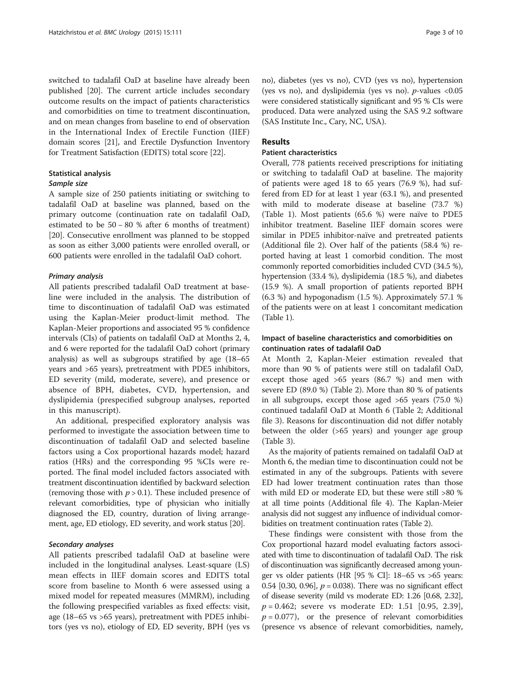switched to tadalafil OaD at baseline have already been published [\[20](#page-9-0)]. The current article includes secondary outcome results on the impact of patients characteristics and comorbidities on time to treatment discontinuation, and on mean changes from baseline to end of observation in the International Index of Erectile Function (IIEF) domain scores [\[21](#page-9-0)], and Erectile Dysfunction Inventory for Treatment Satisfaction (EDITS) total score [\[22](#page-9-0)].

## Statistical analysis

## Sample size

A sample size of 250 patients initiating or switching to tadalafil OaD at baseline was planned, based on the primary outcome (continuation rate on tadalafil OaD, estimated to be 50 − 80 % after 6 months of treatment) [[20\]](#page-9-0). Consecutive enrollment was planned to be stopped as soon as either 3,000 patients were enrolled overall, or 600 patients were enrolled in the tadalafil OaD cohort.

## Primary analysis

All patients prescribed tadalafil OaD treatment at baseline were included in the analysis. The distribution of time to discontinuation of tadalafil OaD was estimated using the Kaplan-Meier product-limit method. The Kaplan-Meier proportions and associated 95 % confidence intervals (CIs) of patients on tadalafil OaD at Months 2, 4, and 6 were reported for the tadalafil OaD cohort (primary analysis) as well as subgroups stratified by age (18–65 years and >65 years), pretreatment with PDE5 inhibitors, ED severity (mild, moderate, severe), and presence or absence of BPH, diabetes, CVD, hypertension, and dyslipidemia (prespecified subgroup analyses, reported in this manuscript).

An additional, prespecified exploratory analysis was performed to investigate the association between time to discontinuation of tadalafil OaD and selected baseline factors using a Cox proportional hazards model; hazard ratios (HRs) and the corresponding 95 %CIs were reported. The final model included factors associated with treatment discontinuation identified by backward selection (removing those with  $p > 0.1$ ). These included presence of relevant comorbidities, type of physician who initially diagnosed the ED, country, duration of living arrangement, age, ED etiology, ED severity, and work status [\[20\]](#page-9-0).

## Secondary analyses

All patients prescribed tadalafil OaD at baseline were included in the longitudinal analyses. Least-square (LS) mean effects in IIEF domain scores and EDITS total score from baseline to Month 6 were assessed using a mixed model for repeated measures (MMRM), including the following prespecified variables as fixed effects: visit, age (18–65 vs >65 years), pretreatment with PDE5 inhibitors (yes vs no), etiology of ED, ED severity, BPH (yes vs

no), diabetes (yes vs no), CVD (yes vs no), hypertension (yes vs no), and dyslipidemia (yes vs no).  $p$ -values <0.05 were considered statistically significant and 95 % CIs were produced. Data were analyzed using the SAS 9.2 software (SAS Institute Inc., Cary, NC, USA).

## Results

## Patient characteristics

Overall, 778 patients received prescriptions for initiating or switching to tadalafil OaD at baseline. The majority of patients were aged 18 to 65 years (76.9 %), had suffered from ED for at least 1 year (63.1 %), and presented with mild to moderate disease at baseline (73.7 %) (Table [1\)](#page-3-0). Most patients (65.6 %) were naïve to PDE5 inhibitor treatment. Baseline IIEF domain scores were similar in PDE5 inhibitor-naïve and pretreated patients (Additional file [2\)](#page-8-0). Over half of the patients (58.4 %) reported having at least 1 comorbid condition. The most commonly reported comorbidities included CVD (34.5 %), hypertension (33.4 %), dyslipidemia (18.5 %), and diabetes (15.9 %). A small proportion of patients reported BPH (6.3 %) and hypogonadism (1.5 %). Approximately 57.1 % of the patients were on at least 1 concomitant medication (Table [1](#page-3-0)).

## Impact of baseline characteristics and comorbidities on continuation rates of tadalafil OaD

At Month 2, Kaplan-Meier estimation revealed that more than 90 % of patients were still on tadalafil OaD, except those aged >65 years (86.7 %) and men with severe ED (89.0 %) (Table [2\)](#page-4-0). More than 80 % of patients in all subgroups, except those aged >65 years (75.0 %) continued tadalafil OaD at Month 6 (Table [2](#page-4-0); Additional file [3](#page-8-0)). Reasons for discontinuation did not differ notably between the older (>65 years) and younger age group (Table [3\)](#page-5-0).

As the majority of patients remained on tadalafil OaD at Month 6, the median time to discontinuation could not be estimated in any of the subgroups. Patients with severe ED had lower treatment continuation rates than those with mild ED or moderate ED, but these were still >80 % at all time points (Additional file [4](#page-8-0)). The Kaplan-Meier analysis did not suggest any influence of individual comorbidities on treatment continuation rates (Table [2](#page-4-0)).

These findings were consistent with those from the Cox proportional hazard model evaluating factors associated with time to discontinuation of tadalafil OaD. The risk of discontinuation was significantly decreased among younger vs older patients (HR [95 % CI]: 18–65 vs >65 years: 0.54 [0.30, 0.96],  $p = 0.038$ ). There was no significant effect of disease severity (mild vs moderate ED: 1.26 [0.68, 2.32],  $p = 0.462$ ; severe vs moderate ED: 1.51 [0.95, 2.39],  $p = 0.077$ , or the presence of relevant comorbidities (presence vs absence of relevant comorbidities, namely,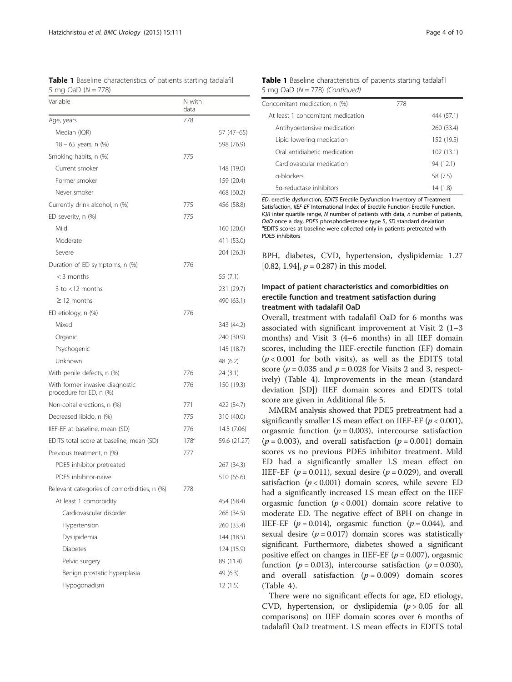<span id="page-3-0"></span>

| <b>Table 1</b> Baseline characteristics of patients starting tadalafil |  |  |
|------------------------------------------------------------------------|--|--|
| 5 mg OaD $(N = 778)$                                                   |  |  |

| Variable                                                   | N with<br>data   |              |
|------------------------------------------------------------|------------------|--------------|
| Age, years                                                 | 778              |              |
| Median (IQR)                                               |                  | 57 (47–65)   |
| $18 - 65$ years, n $(\%)$                                  |                  | 598 (76.9)   |
| Smoking habits, n (%)                                      | 775              |              |
| Current smoker                                             |                  | 148 (19.0)   |
| Former smoker                                              |                  | 159 (20.4)   |
| Never smoker                                               |                  | 468 (60.2)   |
| Currently drink alcohol, n (%)                             | 775              | 456 (58.8)   |
| ED severity, n (%)                                         | 775              |              |
| Mild                                                       |                  | 160 (20.6)   |
| Moderate                                                   |                  | 411 (53.0)   |
| Severe                                                     |                  | 204 (26.3)   |
| Duration of ED symptoms, n (%)                             | 776              |              |
| $<$ 3 months                                               |                  | 55 (7.1)     |
| 3 to $<$ 12 months                                         |                  | 231 (29.7)   |
| $\geq$ 12 months                                           |                  | 490 (63.1)   |
| ED etiology, n (%)                                         | 776              |              |
| Mixed                                                      |                  | 343 (44.2)   |
| Organic                                                    |                  | 240 (30.9)   |
| Psychogenic                                                |                  | 145 (18.7)   |
| Unknown                                                    |                  | 48 (6.2)     |
| With penile defects, n (%)                                 | 776              | 24 (3.1)     |
| With former invasive diagnostic<br>procedure for ED, n (%) | 776              | 150 (19.3)   |
| Non-coital erections, n (%)                                | 771              | 422 (54.7)   |
| Decreased libido, n (%)                                    | 775              | 310 (40.0)   |
| IIEF-EF at baseline, mean (SD)                             | 776              | 14.5 (7.06)  |
| EDITS total score at baseline, mean (SD)                   | 178 <sup>d</sup> | 59.6 (21.27) |
| Previous treatment, n (%)                                  | 777              |              |
| PDE5 inhibitor pretreated                                  |                  | 267 (34.3)   |
| PDE5 inhibitor-naïve                                       |                  | 510 (65.6)   |
| Relevant categories of comorbidities, n (%)                | 778              |              |
| At least 1 comorbidity                                     |                  | 454 (58.4)   |
| Cardiovascular disorder                                    |                  | 268 (34.5)   |
| Hypertension                                               |                  | 260 (33.4)   |
| Dyslipidemia                                               |                  | 144 (18.5)   |
| <b>Diabetes</b>                                            |                  | 124 (15.9)   |
| Pelvic surgery                                             |                  | 89 (11.4)    |
| Benign prostatic hyperplasia                               |                  | 49 (6.3)     |
| Hypogonadism                                               |                  | 12 (1.5)     |

| <b>Table 1</b> Baseline characteristics of patients starting tadalafil |  |  |  |
|------------------------------------------------------------------------|--|--|--|
| 5 mg OaD ( $N = 778$ ) (Continued)                                     |  |  |  |

| Concomitant medication, n (%)     | 778 |            |
|-----------------------------------|-----|------------|
| At least 1 concomitant medication |     | 444 (57.1) |
| Antihypertensive medication       |     | 260 (33.4) |
| Lipid lowering medication         |     | 152 (19.5) |
| Oral antidiabetic medication      |     | 102(13.1)  |
| Cardiovascular medication         |     | 94 (12.1)  |
| a-blockers                        |     | 58 (7.5)   |
| 5a-reductase inhibitors           |     | 14 (1.8)   |

ED, erectile dysfunction, EDITS Erectile Dysfunction Inventory of Treatment Satisfaction, IIEF-EF International Index of Erectile Function-Erectile Function, IOR inter quartile range, N number of patients with data,  $n$  number of patients, OaD once a day, PDE5 phosphodiesterase type 5, SD standard deviation <sup>a</sup>EDITS scores at baseline were collected only in patients pretreated with PDE5 inhibitors

BPH, diabetes, CVD, hypertension, dyslipidemia: 1.27 [0.82, 1.94],  $p = 0.287$ ) in this model.

## Impact of patient characteristics and comorbidities on erectile function and treatment satisfaction during treatment with tadalafil OaD

Overall, treatment with tadalafil OaD for 6 months was associated with significant improvement at Visit 2 (1–3 months) and Visit 3 (4–6 months) in all IIEF domain scores, including the IIEF-erectile function (EF) domain  $(p < 0.001$  for both visits), as well as the EDITS total score ( $p = 0.035$  and  $p = 0.028$  for Visits 2 and 3, respectively) (Table [4\)](#page-6-0). Improvements in the mean (standard deviation [SD]) IIEF domain scores and EDITS total score are given in Additional file [5](#page-8-0).

MMRM analysis showed that PDE5 pretreatment had a significantly smaller LS mean effect on IIEF-EF  $(p < 0.001)$ , orgasmic function ( $p = 0.003$ ), intercourse satisfaction  $(p = 0.003)$ , and overall satisfaction  $(p = 0.001)$  domain scores vs no previous PDE5 inhibitor treatment. Mild ED had a significantly smaller LS mean effect on IIEF-EF ( $p = 0.011$ ), sexual desire ( $p = 0.029$ ), and overall satisfaction  $(p < 0.001)$  domain scores, while severe ED had a significantly increased LS mean effect on the IIEF orgasmic function  $(p < 0.001)$  domain score relative to moderate ED. The negative effect of BPH on change in IIEF-EF ( $p = 0.014$ ), orgasmic function ( $p = 0.044$ ), and sexual desire  $(p = 0.017)$  domain scores was statistically significant. Furthermore, diabetes showed a significant positive effect on changes in IIEF-EF ( $p = 0.007$ ), orgasmic function ( $p = 0.013$ ), intercourse satisfaction ( $p = 0.030$ ), and overall satisfaction  $(p = 0.009)$  domain scores (Table [4](#page-6-0)).

There were no significant effects for age, ED etiology, CVD, hypertension, or dyslipidemia ( $p > 0.05$  for all comparisons) on IIEF domain scores over 6 months of tadalafil OaD treatment. LS mean effects in EDITS total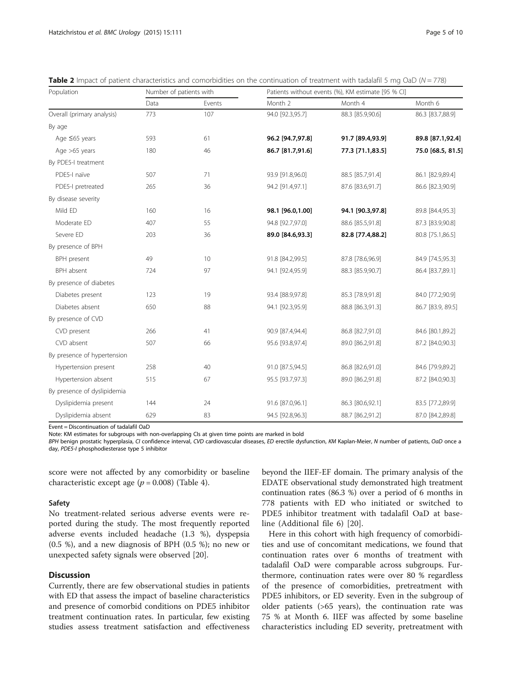| Population                  |      | Number of patients with |                  | Patients without events (%), KM estimate [95 % CI] |                   |  |  |
|-----------------------------|------|-------------------------|------------------|----------------------------------------------------|-------------------|--|--|
|                             | Data | Events                  | Month 2          | Month 4                                            | Month 6           |  |  |
| Overall (primary analysis)  | 773  | 107                     | 94.0 [92.3,95.7] | 88.3 [85.9,90.6]                                   | 86.3 [83.7,88.9]  |  |  |
| By age                      |      |                         |                  |                                                    |                   |  |  |
| Age ≤65 years               | 593  | 61                      | 96.2 [94.7,97.8] | 91.7 [89.4,93.9]                                   | 89.8 [87.1,92.4]  |  |  |
| Age >65 years               | 180  | 46                      | 86.7 [81.7,91.6] | 77.3 [71.1,83.5]                                   | 75.0 [68.5, 81.5] |  |  |
| By PDE5-I treatment         |      |                         |                  |                                                    |                   |  |  |
| PDE5-I naïve                | 507  | 71                      | 93.9 [91.8,96.0] | 88.5 [85.7,91.4]                                   | 86.1 [82.9,89.4]  |  |  |
| PDE5-I pretreated           | 265  | 36                      | 94.2 [91.4,97.1] | 87.6 [83.6,91.7]                                   | 86.6 [82.3,90.9]  |  |  |
| By disease severity         |      |                         |                  |                                                    |                   |  |  |
| Mild ED                     | 160  | 16                      | 98.1 [96.0,1.00] | 94.1 [90.3,97.8]                                   | 89.8 [84.4,95.3]  |  |  |
| Moderate ED                 | 407  | 55                      | 94.8 [92.7,97.0] | 88.6 [85.5,91.8]                                   | 87.3 [83.9,90.8]  |  |  |
| Severe ED                   | 203  | 36                      | 89.0 [84.6,93.3] | 82.8 [77.4,88.2]                                   | 80.8 [75.1,86.5]  |  |  |
| By presence of BPH          |      |                         |                  |                                                    |                   |  |  |
| BPH present                 | 49   | 10                      | 91.8 [84.2,99.5] | 87.8 [78.6,96.9]                                   | 84.9 [74.5,95.3]  |  |  |
| BPH absent                  | 724  | 97                      | 94.1 [92.4,95.9] | 88.3 [85.9,90.7]                                   | 86.4 [83.7,89.1]  |  |  |
| By presence of diabetes     |      |                         |                  |                                                    |                   |  |  |
| Diabetes present            | 123  | 19                      | 93.4 [88.9,97.8] | 85.3 [78.9,91.8]                                   | 84.0 [77.2,90.9]  |  |  |
| Diabetes absent             | 650  | 88                      | 94.1 [92.3,95.9] | 88.8 [86.3,91.3]                                   | 86.7 [83.9, 89.5] |  |  |
| By presence of CVD          |      |                         |                  |                                                    |                   |  |  |
| CVD present                 | 266  | 41                      | 90.9 [87.4,94.4] | 86.8 [82.7,91.0]                                   | 84.6 [80.1,89.2]  |  |  |
| CVD absent                  | 507  | 66                      | 95.6 [93.8,97.4] | 89.0 [86.2,91.8]                                   | 87.2 [84.0,90.3]  |  |  |
| By presence of hypertension |      |                         |                  |                                                    |                   |  |  |
| Hypertension present        | 258  | 40                      | 91.0 [87.5,94.5] | 86.8 [82.6,91.0]                                   | 84.6 [79.9,89.2]  |  |  |
| Hypertension absent         | 515  | 67                      | 95.5 [93.7,97.3] | 89.0 [86.2,91.8]                                   | 87.2 [84.0,90.3]  |  |  |
| By presence of dyslipidemia |      |                         |                  |                                                    |                   |  |  |
| Dyslipidemia present        | 144  | 24                      | 91.6 [87.0,96.1] | 86.3 [80.6,92.1]                                   | 83.5 [77.2,89.9]  |  |  |
| Dyslipidemia absent         | 629  | 83                      | 94.5 [92.8,96.3] | 88.7 [86.2,91.2]                                   | 87.0 [84.2,89.8]  |  |  |

<span id="page-4-0"></span>

| Table 2 Impact of patient characteristics and comorbidities on the continuation of treatment with tadalafil 5 mg OaD (N = 778) |  |  |
|--------------------------------------------------------------------------------------------------------------------------------|--|--|
|--------------------------------------------------------------------------------------------------------------------------------|--|--|

Event = Discontinuation of tadalafil OaD

Note: KM estimates for subgroups with non-overlapping CIs at given time points are marked in bold

BPH benign prostatic hyperplasia, CI confidence interval, CVD cardiovascular diseases, ED erectile dysfunction, KM Kaplan-Meier, N number of patients, OaD once a day, PDE5-I phosphodiesterase type 5 inhibitor

score were not affected by any comorbidity or baseline characteristic except age  $(p = 0.008)$  (Table [4\)](#page-6-0).

## Safety

No treatment-related serious adverse events were reported during the study. The most frequently reported adverse events included headache (1.3 %), dyspepsia (0.5 %), and a new diagnosis of BPH (0.5 %); no new or unexpected safety signals were observed [\[20](#page-9-0)].

## **Discussion**

Currently, there are few observational studies in patients with ED that assess the impact of baseline characteristics and presence of comorbid conditions on PDE5 inhibitor treatment continuation rates. In particular, few existing studies assess treatment satisfaction and effectiveness

beyond the IIEF-EF domain. The primary analysis of the EDATE observational study demonstrated high treatment continuation rates (86.3 %) over a period of 6 months in 778 patients with ED who initiated or switched to PDE5 inhibitor treatment with tadalafil OaD at baseline (Additional file [6\)](#page-8-0) [\[20](#page-9-0)].

Here in this cohort with high frequency of comorbidities and use of concomitant medications, we found that continuation rates over 6 months of treatment with tadalafil OaD were comparable across subgroups. Furthermore, continuation rates were over 80 % regardless of the presence of comorbidities, pretreatment with PDE5 inhibitors, or ED severity. Even in the subgroup of older patients (>65 years), the continuation rate was 75 % at Month 6. IIEF was affected by some baseline characteristics including ED severity, pretreatment with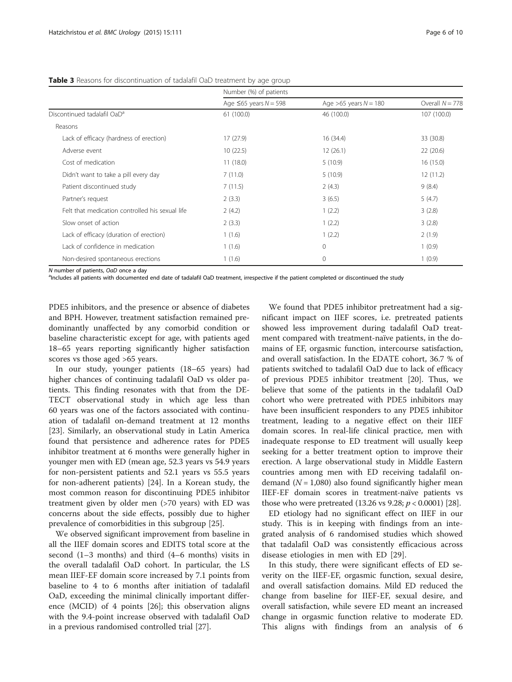|                                                 | Number (%) of patients        |                           |                   |  |  |
|-------------------------------------------------|-------------------------------|---------------------------|-------------------|--|--|
|                                                 | Age $\leq 65$ years $N = 598$ | Age $>65$ years $N = 180$ | Overall $N = 778$ |  |  |
| Discontinued tadalafil OaD <sup>a</sup>         | 61(100.0)                     | 46 (100.0)                | 107 (100.0)       |  |  |
| Reasons                                         |                               |                           |                   |  |  |
| Lack of efficacy (hardness of erection)         | 17(27.9)                      | 16 (34.4)                 | 33 (30.8)         |  |  |
| Adverse event                                   | 10(22.5)                      | 12(26.1)                  | 22(20.6)          |  |  |
| Cost of medication                              | 11(18.0)                      | 5(10.9)                   | 16(15.0)          |  |  |
| Didn't want to take a pill every day            | 7(11.0)                       | 5(10.9)                   | 12(11.2)          |  |  |
| Patient discontinued study                      | 7(11.5)                       | 2(4.3)                    | 9(8.4)            |  |  |
| Partner's request                               | 2(3.3)                        | 3(6.5)                    | 5(4.7)            |  |  |
| Felt that medication controlled his sexual life | 2(4.2)                        | 1(2.2)                    | 3(2.8)            |  |  |
| Slow onset of action                            | 2(3.3)                        | 1(2.2)                    | 3(2.8)            |  |  |
| Lack of efficacy (duration of erection)         | 1(1.6)                        | 1(2.2)                    | 2(1.9)            |  |  |
| Lack of confidence in medication                | 1(1.6)                        | $\mathbf{0}$              | 1(0.9)            |  |  |
| Non-desired spontaneous erections               | 1(1.6)                        | 0                         | 1(0.9)            |  |  |

#### <span id="page-5-0"></span>Table 3 Reasons for discontinuation of tadalafil OaD treatment by age group

N number of patients, OaD once a day

<sup>a</sup>lncludes all patients with documented end date of tadalafil OaD treatment, irrespective if the patient completed or discontinued the study

PDE5 inhibitors, and the presence or absence of diabetes and BPH. However, treatment satisfaction remained predominantly unaffected by any comorbid condition or baseline characteristic except for age, with patients aged 18–65 years reporting significantly higher satisfaction scores vs those aged >65 years.

In our study, younger patients (18–65 years) had higher chances of continuing tadalafil OaD vs older patients. This finding resonates with that from the DE-TECT observational study in which age less than 60 years was one of the factors associated with continuation of tadalafil on-demand treatment at 12 months [[23\]](#page-9-0). Similarly, an observational study in Latin America found that persistence and adherence rates for PDE5 inhibitor treatment at 6 months were generally higher in younger men with ED (mean age, 52.3 years vs 54.9 years for non-persistent patients and 52.1 years vs 55.5 years for non-adherent patients) [[24\]](#page-9-0). In a Korean study, the most common reason for discontinuing PDE5 inhibitor treatment given by older men (>70 years) with ED was concerns about the side effects, possibly due to higher prevalence of comorbidities in this subgroup [[25\]](#page-9-0).

We observed significant improvement from baseline in all the IIEF domain scores and EDITS total score at the second (1–3 months) and third (4–6 months) visits in the overall tadalafil OaD cohort. In particular, the LS mean IIEF-EF domain score increased by 7.1 points from baseline to 4 to 6 months after initiation of tadalafil OaD, exceeding the minimal clinically important difference (MCID) of 4 points [[26](#page-9-0)]; this observation aligns with the 9.4-point increase observed with tadalafil OaD in a previous randomised controlled trial [\[27](#page-9-0)].

We found that PDE5 inhibitor pretreatment had a significant impact on IIEF scores, i.e. pretreated patients showed less improvement during tadalafil OaD treatment compared with treatment-naïve patients, in the domains of EF, orgasmic function, intercourse satisfaction, and overall satisfaction. In the EDATE cohort, 36.7 % of patients switched to tadalafil OaD due to lack of efficacy of previous PDE5 inhibitor treatment [[20](#page-9-0)]. Thus, we believe that some of the patients in the tadalafil OaD cohort who were pretreated with PDE5 inhibitors may have been insufficient responders to any PDE5 inhibitor treatment, leading to a negative effect on their IIEF domain scores. In real-life clinical practice, men with inadequate response to ED treatment will usually keep seeking for a better treatment option to improve their erection. A large observational study in Middle Eastern countries among men with ED receiving tadalafil ondemand ( $N = 1,080$ ) also found significantly higher mean IIEF-EF domain scores in treatment-naïve patients vs those who were pretreated  $(13.26 \text{ vs } 9.28; p < 0.0001)$  $(13.26 \text{ vs } 9.28; p < 0.0001)$  $(13.26 \text{ vs } 9.28; p < 0.0001)$  [28].

ED etiology had no significant effect on IIEF in our study. This is in keeping with findings from an integrated analysis of 6 randomised studies which showed that tadalafil OaD was consistently efficacious across disease etiologies in men with ED [[29\]](#page-9-0).

In this study, there were significant effects of ED severity on the IIEF-EF, orgasmic function, sexual desire, and overall satisfaction domains. Mild ED reduced the change from baseline for IIEF-EF, sexual desire, and overall satisfaction, while severe ED meant an increased change in orgasmic function relative to moderate ED. This aligns with findings from an analysis of 6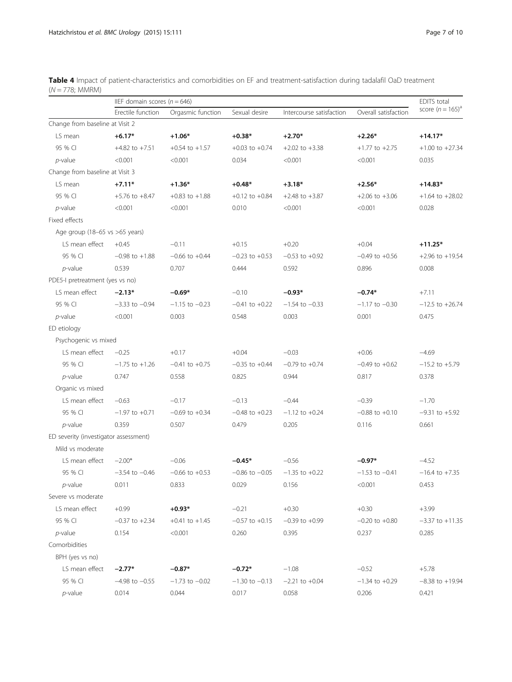<span id="page-6-0"></span>

| Table 4 Impact of patient-characteristics and comorbidities on EF and treatment-satisfaction during tadalafil OaD treatment |  |
|-----------------------------------------------------------------------------------------------------------------------------|--|
| (N = 778; MMRM)                                                                                                             |  |

|                                       | IIEF domain scores ( $n = 646$ ) |                    |                    |                          |                      |                     |
|---------------------------------------|----------------------------------|--------------------|--------------------|--------------------------|----------------------|---------------------|
|                                       | Erectile function                | Orgasmic function  | Sexual desire      | Intercourse satisfaction | Overall satisfaction | score $(n = 165)^a$ |
| Change from baseline at Visit 2       |                                  |                    |                    |                          |                      |                     |
| LS mean                               | $+6.17*$                         | $+1.06*$           | $+0.38*$           | $+2.70*$                 | $+2.26*$             | $+14.17*$           |
| 95 % CI                               | $+4.82$ to $+7.51$               | $+0.54$ to $+1.57$ | $+0.03$ to $+0.74$ | $+2.02$ to $+3.38$       | $+1.77$ to $+2.75$   | $+1.00$ to $+27.34$ |
| $p$ -value                            | < 0.001                          | < 0.001            | 0.034              | < 0.001                  | < 0.001              | 0.035               |
| Change from baseline at Visit 3       |                                  |                    |                    |                          |                      |                     |
| LS mean                               | $+7.11*$                         | $+1.36*$           | $+0.48*$           | $+3.18*$                 | $+2.56*$             | $+14.83*$           |
| 95 % CI                               | $+5.76$ to $+8.47$               | $+0.83$ to $+1.88$ | $+0.12$ to $+0.84$ | $+2.48$ to $+3.87$       | $+2.06$ to $+3.06$   | $+1.64$ to $+28.02$ |
| $p$ -value                            | < 0.001                          | < 0.001            | 0.010              | < 0.001                  | < 0.001              | 0.028               |
| Fixed effects                         |                                  |                    |                    |                          |                      |                     |
| Age group (18-65 vs >65 years)        |                                  |                    |                    |                          |                      |                     |
| LS mean effect                        | $+0.45$                          | $-0.11$            | $+0.15$            | $+0.20$                  | $+0.04$              | $+11.25*$           |
| 95 % CI                               | $-0.98$ to $+1.88$               | $-0.66$ to $+0.44$ | $-0.23$ to $+0.53$ | $-0.53$ to $+0.92$       | $-0.49$ to $+0.56$   | $+2.96$ to $+19.54$ |
| $p$ -value                            | 0.539                            | 0.707              | 0.444              | 0.592                    | 0.896                | 0.008               |
| PDE5-I pretreatment (yes vs no)       |                                  |                    |                    |                          |                      |                     |
| LS mean effect                        | $-2.13*$                         | $-0.69*$           | $-0.10$            | $-0.93*$                 | $-0.74*$             | $+7.11$             |
| 95 % CI                               | $-3.33$ to $-0.94$               | $-1.15$ to $-0.23$ | $-0.41$ to $+0.22$ | $-1.54$ to $-0.33$       | $-1.17$ to $-0.30$   | $-12.5$ to $+26.74$ |
| $p$ -value                            | < 0.001                          | 0.003              | 0.548              | 0.003                    | 0.001                | 0.475               |
| ED etiology                           |                                  |                    |                    |                          |                      |                     |
| Psychogenic vs mixed                  |                                  |                    |                    |                          |                      |                     |
| LS mean effect                        | $-0.25$                          | $+0.17$            | $+0.04$            | $-0.03$                  | $+0.06$              | $-4.69$             |
| 95 % CI                               | $-1.75$ to $+1.26$               | $-0.41$ to $+0.75$ | $-0.35$ to $+0.44$ | $-0.79$ to $+0.74$       | $-0.49$ to $+0.62$   | $-15.2$ to $+5.79$  |
| $p$ -value                            | 0.747                            | 0.558              | 0.825              | 0.944                    | 0.817                | 0.378               |
| Organic vs mixed                      |                                  |                    |                    |                          |                      |                     |
| LS mean effect                        | $-0.63$                          | $-0.17$            | $-0.13$            | $-0.44$                  | $-0.39$              | $-1.70$             |
| 95 % CI                               | $-1.97$ to $+0.71$               | $-0.69$ to $+0.34$ | $-0.48$ to $+0.23$ | $-1.12$ to $+0.24$       | $-0.88$ to $+0.10$   | $-9.31$ to $+5.92$  |
| $p$ -value                            | 0.359                            | 0.507              | 0.479              | 0.205                    | 0.116                | 0.661               |
| ED severity (investigator assessment) |                                  |                    |                    |                          |                      |                     |
| Mild vs moderate                      |                                  |                    |                    |                          |                      |                     |
| LS mean effect                        | $-2.00*$                         | $-0.06$            | $-0.45*$           | $-0.56$                  | $-0.97*$             | $-4.52$             |
| 95 % CI                               | $-3.54$ to $-0.46$               | $-0.66$ to $+0.53$ | $-0.86$ to $-0.05$ | $-1.35$ to $+0.22$       | $-1.53$ to $-0.41$   | $-16.4$ to $+7.35$  |
| $p$ -value                            | 0.011                            | 0.833              | 0.029              | 0.156                    | < 0.001              | 0.453               |
| Severe vs moderate                    |                                  |                    |                    |                          |                      |                     |
| LS mean effect                        | $+0.99$                          | $+0.93*$           | $-0.21$            | $+0.30$                  | $+0.30$              | $+3.99$             |
| 95 % CI                               | $-0.37$ to $+2.34$               | $+0.41$ to $+1.45$ | $-0.57$ to $+0.15$ | $-0.39$ to $+0.99$       | $-0.20$ to $+0.80$   | $-3.37$ to $+11.35$ |
| $p$ -value                            | 0.154                            | < 0.001            | 0.260              | 0.395                    | 0.237                | 0.285               |
| Comorbidities                         |                                  |                    |                    |                          |                      |                     |
| BPH (yes vs no)                       |                                  |                    |                    |                          |                      |                     |
| LS mean effect                        | $-2.77*$                         | $-0.87*$           | $-0.72*$           | $-1.08$                  | $-0.52$              | $+5.78$             |
| 95 % CI                               | $-4.98$ to $-0.55$               | $-1.73$ to $-0.02$ | $-1.30$ to $-0.13$ | $-2.21$ to $+0.04$       | $-1.34$ to $+0.29$   | $-8.38$ to $+19.94$ |
| $p$ -value                            | 0.014                            | 0.044              | 0.017              | 0.058                    | 0.206                | 0.421               |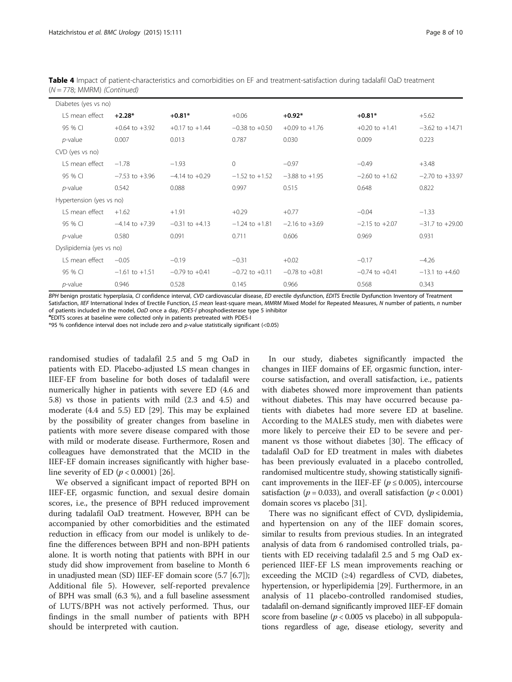| Table 4 Impact of patient-characteristics and comorbidities on EF and treatment-satisfaction during tadalafil OaD treatment |  |  |  |
|-----------------------------------------------------------------------------------------------------------------------------|--|--|--|
| $(N = 778; MMRM)$ (Continued)                                                                                               |  |  |  |

| Diabetes (yes vs no)     |                    |                    |                    |                    |                    |                     |
|--------------------------|--------------------|--------------------|--------------------|--------------------|--------------------|---------------------|
| LS mean effect           | $+2.28*$           | $+0.81*$           | $+0.06$            | $+0.92*$           | $+0.81*$           | $+5.62$             |
| 95 % CI                  | $+0.64$ to $+3.92$ | $+0.17$ to $+1.44$ | $-0.38$ to $+0.50$ | $+0.09$ to $+1.76$ | $+0.20$ to $+1.41$ | $-3.62$ to $+14.71$ |
| $p$ -value               | 0.007              | 0.013              | 0.787              | 0.030              | 0.009              | 0.223               |
| CVD (yes vs no)          |                    |                    |                    |                    |                    |                     |
| LS mean effect           | $-1.78$            | $-1.93$            | $\circ$            | $-0.97$            | $-0.49$            | $+3.48$             |
| 95 % CI                  | $-7.53$ to $+3.96$ | $-4.14$ to $+0.29$ | $-1.52$ to $+1.52$ | $-3.88$ to $+1.95$ | $-2.60$ to $+1.62$ | $-2.70$ to $+33.97$ |
| $p$ -value               | 0.542              | 0.088              | 0.997              | 0.515              | 0.648              | 0.822               |
| Hypertension (yes vs no) |                    |                    |                    |                    |                    |                     |
| LS mean effect           | $+1.62$            | $+1.91$            | $+0.29$            | $+0.77$            | $-0.04$            | $-1.33$             |
| 95 % CI                  | $-4.14$ to $+7.39$ | $-0.31$ to $+4.13$ | $-1.24$ to $+1.81$ | $-2.16$ to $+3.69$ | $-2.15$ to $+2.07$ | $-31.7$ to $+29.00$ |
| $p$ -value               | 0.580              | 0.091              | 0.711              | 0.606              | 0.969              | 0.931               |
| Dyslipidemia (yes vs no) |                    |                    |                    |                    |                    |                     |
| LS mean effect           | $-0.05$            | $-0.19$            | $-0.31$            | $+0.02$            | $-0.17$            | $-4.26$             |
| 95 % CI                  | $-1.61$ to $+1.51$ | $-0.79$ to $+0.41$ | $-0.72$ to $+0.11$ | $-0.78$ to $+0.81$ | $-0.74$ to $+0.41$ | $-13.1$ to $+4.60$  |
| $p$ -value               | 0.946              | 0.528              | 0.145              | 0.966              | 0.568              | 0.343               |

BPH benign prostatic hyperplasia, CI confidence interval, CVD cardiovascular disease, ED erectile dysfunction, EDITS Erectile Dysfunction Inventory of Treatment<br>Satisfaction, IIEE International Index of Erectile Eunction, Satisfaction, IIEF International Index of Erectile Function, LS mean least-square mean, MMRM Mixed Model for Repeated Measures, N number of patients, n number<br>of patients included in the model. OgD once a day, PDE5-L phosp of patients included in the model, OaD once a day, PDE5-I phosphodiesterase type 5 inhibitor

<sup>a</sup>EDITS scores at baseline were collected only in patients pretreated with PDE5-I

\*95 % confidence interval does not include zero and  $p$ -value statistically significant (<0.05)

randomised studies of tadalafil 2.5 and 5 mg OaD in patients with ED. Placebo-adjusted LS mean changes in IIEF-EF from baseline for both doses of tadalafil were numerically higher in patients with severe ED (4.6 and 5.8) vs those in patients with mild (2.3 and 4.5) and moderate (4.4 and 5.5) ED [\[29\]](#page-9-0). This may be explained by the possibility of greater changes from baseline in patients with more severe disease compared with those with mild or moderate disease. Furthermore, Rosen and colleagues have demonstrated that the MCID in the IIEF-EF domain increases significantly with higher baseline severity of ED  $(p < 0.0001)$  [[26](#page-9-0)].

We observed a significant impact of reported BPH on IIEF-EF, orgasmic function, and sexual desire domain scores, i.e., the presence of BPH reduced improvement during tadalafil OaD treatment. However, BPH can be accompanied by other comorbidities and the estimated reduction in efficacy from our model is unlikely to define the differences between BPH and non-BPH patients alone. It is worth noting that patients with BPH in our study did show improvement from baseline to Month 6 in unadjusted mean (SD) IIEF-EF domain score (5.7 [6.7]); Additional file [5\)](#page-8-0). However, self-reported prevalence of BPH was small (6.3 %), and a full baseline assessment of LUTS/BPH was not actively performed. Thus, our findings in the small number of patients with BPH should be interpreted with caution.

In our study, diabetes significantly impacted the changes in IIEF domains of EF, orgasmic function, intercourse satisfaction, and overall satisfaction, i.e., patients with diabetes showed more improvement than patients without diabetes. This may have occurred because patients with diabetes had more severe ED at baseline. According to the MALES study, men with diabetes were more likely to perceive their ED to be severe and permanent vs those without diabetes [[30\]](#page-9-0). The efficacy of tadalafil OaD for ED treatment in males with diabetes has been previously evaluated in a placebo controlled, randomised multicentre study, showing statistically significant improvements in the IIEF-EF ( $p \le 0.005$ ), intercourse satisfaction ( $p = 0.033$ ), and overall satisfaction ( $p < 0.001$ ) domain scores vs placebo [\[31\]](#page-9-0).

There was no significant effect of CVD, dyslipidemia, and hypertension on any of the IIEF domain scores, similar to results from previous studies. In an integrated analysis of data from 6 randomised controlled trials, patients with ED receiving tadalafil 2.5 and 5 mg OaD experienced IIEF-EF LS mean improvements reaching or exceeding the MCID (≥4) regardless of CVD, diabetes, hypertension, or hyperlipidemia [[29\]](#page-9-0). Furthermore, in an analysis of 11 placebo-controlled randomised studies, tadalafil on-demand significantly improved IIEF-EF domain score from baseline ( $p < 0.005$  vs placebo) in all subpopulations regardless of age, disease etiology, severity and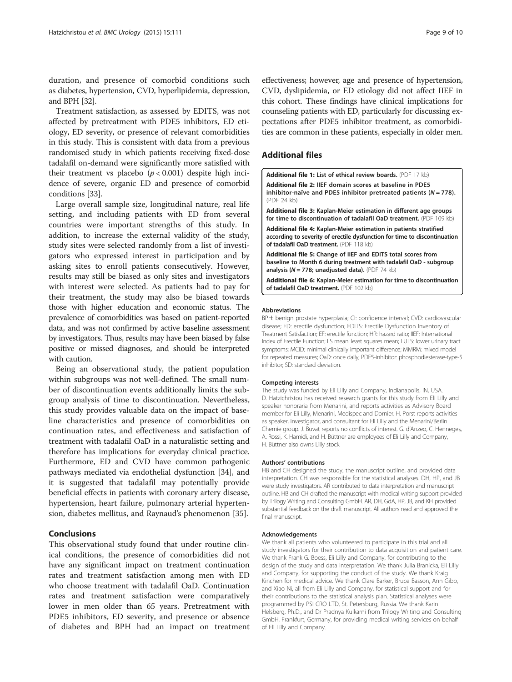<span id="page-8-0"></span>duration, and presence of comorbid conditions such as diabetes, hypertension, CVD, hyperlipidemia, depression, and BPH [[32](#page-9-0)].

Treatment satisfaction, as assessed by EDITS, was not affected by pretreatment with PDE5 inhibitors, ED etiology, ED severity, or presence of relevant comorbidities in this study. This is consistent with data from a previous randomised study in which patients receiving fixed-dose tadalafil on-demand were significantly more satisfied with their treatment vs placebo  $(p < 0.001)$  despite high incidence of severe, organic ED and presence of comorbid conditions [\[33\]](#page-9-0).

Large overall sample size, longitudinal nature, real life setting, and including patients with ED from several countries were important strengths of this study. In addition, to increase the external validity of the study, study sites were selected randomly from a list of investigators who expressed interest in participation and by asking sites to enroll patients consecutively. However, results may still be biased as only sites and investigators with interest were selected. As patients had to pay for their treatment, the study may also be biased towards those with higher education and economic status. The prevalence of comorbidities was based on patient-reported data, and was not confirmed by active baseline assessment by investigators. Thus, results may have been biased by false positive or missed diagnoses, and should be interpreted with caution.

Being an observational study, the patient population within subgroups was not well-defined. The small number of discontinuation events additionally limits the subgroup analysis of time to discontinuation. Nevertheless, this study provides valuable data on the impact of baseline characteristics and presence of comorbidities on continuation rates, and effectiveness and satisfaction of treatment with tadalafil OaD in a naturalistic setting and therefore has implications for everyday clinical practice. Furthermore, ED and CVD have common pathogenic pathways mediated via endothelial dysfunction [[34\]](#page-9-0), and it is suggested that tadalafil may potentially provide beneficial effects in patients with coronary artery disease, hypertension, heart failure, pulmonary arterial hypertension, diabetes mellitus, and Raynaud's phenomenon [[35\]](#page-9-0).

## Conclusions

This observational study found that under routine clinical conditions, the presence of comorbidities did not have any significant impact on treatment continuation rates and treatment satisfaction among men with ED who choose treatment with tadalafil OaD. Continuation rates and treatment satisfaction were comparatively lower in men older than 65 years. Pretreatment with PDE5 inhibitors, ED severity, and presence or absence of diabetes and BPH had an impact on treatment effectiveness; however, age and presence of hypertension, CVD, dyslipidemia, or ED etiology did not affect IIEF in this cohort. These findings have clinical implications for counseling patients with ED, particularly for discussing expectations after PDE5 inhibitor treatment, as comorbidities are common in these patients, especially in older men.

## Additional files

[Additional file 1:](dx.doi.org/10.1186/s12894-015-0107-5) List of ethical review boards. (PDF 17 kb) [Additional file 2:](dx.doi.org/10.1186/s12894-015-0107-5) IIEF domain scores at baseline in PDE5 inhibitor-naïve and PDE5 inhibitor pretreated patients ( $N = 778$ ). (PDF 24 kb) [Additional file 3:](dx.doi.org/10.1186/s12894-015-0107-5) Kaplan-Meier estimation in different age groups for time to discontinuation of tadalafil OaD treatment. (PDF 109 kb) [Additional file 4:](dx.doi.org/10.1186/s12894-015-0107-5) Kaplan-Meier estimation in patients stratified according to severity of erectile dysfunction for time to discontinuation of tadalafil OaD treatment. (PDF 118 kb)

[Additional file 5:](dx.doi.org/10.1186/s12894-015-0107-5) Change of IIEF and EDITS total scores from baseline to Month 6 during treatment with tadalafil OaD - subgroup analysis ( $N = 778$ ; unadjusted data). (PDF 74 kb)

[Additional file 6:](dx.doi.org/10.1186/s12894-015-0107-5) Kaplan-Meier estimation for time to discontinuation of tadalafil OaD treatment. (PDF 102 kb)

#### Abbreviations

BPH: benign prostate hyperplasia; CI: confidence interval; CVD: cardiovascular disease; ED: erectile dysfunction; EDITS: Erectile Dysfunction Inventory of Treatment Satisfaction; EF: erectile function; HR: hazard ratio; IIEF: International Index of Erectile Function; LS mean: least squares mean; LUTS: lower urinary tract symptoms; MCID: minimal clinically important difference; MMRM: mixed model for repeated measures; OaD: once daily; PDE5-inhibitor: phosphodiesterase-type-5 inhibitor; SD: standard deviation.

#### Competing interests

The study was funded by Eli Lilly and Company, Indianapolis, IN, USA. D. Hatzichristou has received research grants for this study from Eli Lilly and speaker honoraria from Menarini, and reports activities as Advisory Board member for Eli Lilly, Menarini, Medispec and Dornier. H. Porst reports activities as speaker, investigator, and consultant for Eli Lilly and the Menarini/Berlin Chemie group. J. Buvat reports no conflicts of interest. G. d'Anzeo, C. Henneges, A. Rossi, K. Hamidi, and H. Büttner are employees of Eli Lilly and Company, H. Büttner also owns Lilly stock.

#### Authors' contributions

HB and CH designed the study, the manuscript outline, and provided data interpretation. CH was responsible for the statistical analyses. DH, HP, and JB were study investigators. AR contributed to data interpretation and manuscript outline. HB and CH drafted the manuscript with medical writing support provided by Trilogy Writing and Consulting GmbH. AR, DH, GdA, HP, JB, and KH provided substantial feedback on the draft manuscript. All authors read and approved the final manuscript.

#### Acknowledgements

We thank all patients who volunteered to participate in this trial and all study investigators for their contribution to data acquisition and patient care. We thank Frank G. Boess, Eli Lilly and Company, for contributing to the design of the study and data interpretation. We thank Julia Branicka, Eli Lilly and Company, for supporting the conduct of the study. We thank Kraig Kinchen for medical advice. We thank Clare Barker, Bruce Basson, Ann Gibb, and Xiao Ni, all from Eli Lilly and Company, for statistical support and for their contributions to the statistical analysis plan. Statistical analyses were programmed by PSI CRO LTD, St. Petersburg, Russia. We thank Karin Helsberg, Ph.D., and Dr Pradnya Kulkarni from Trilogy Writing and Consulting GmbH, Frankfurt, Germany, for providing medical writing services on behalf of Eli Lilly and Company.